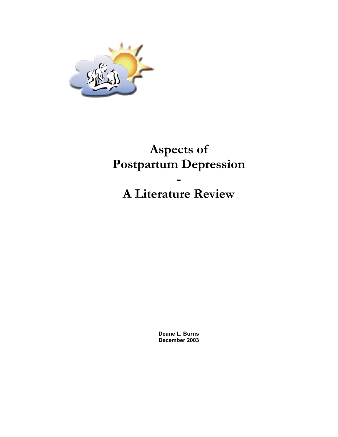

# **Aspects of Postpartum Depression - A Literature Review**

**Deane L. Burns December 2003**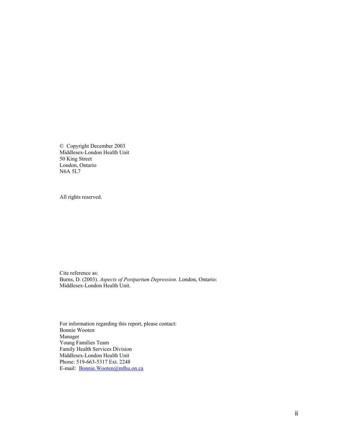© Copyright December 2003 Middlesex-London Health Unit 50 King Street London, Ontario N6A 5L7

All rights reserved.

Cite reference as: Burns, D. (2003). *Aspects of Postpartum Depression.* London, Ontario: Middlesex-London Health Unit.

For information regarding this report, please contact: Bonnie Wooten Manager Young Families Team Family Health Services Division Middlesex-London Health Unit Phone: 519-663-5317 Ext. 2248 E-mail: [Bonnie.Wooten@mlhu.on.ca](mailto:Bonnie.Wooten@mlhu.on.ca)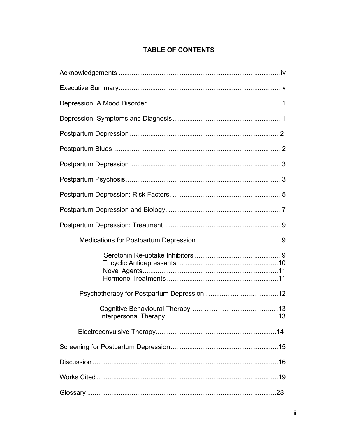## **TABLE OF CONTENTS**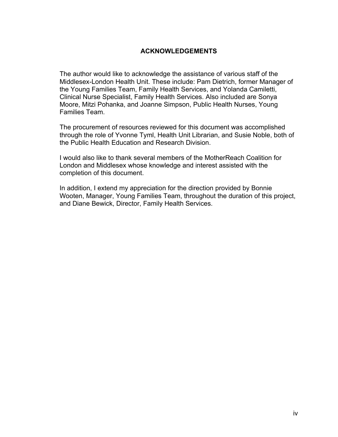## **ACKNOWLEDGEMENTS**

The author would like to acknowledge the assistance of various staff of the Middlesex-London Health Unit. These include: Pam Dietrich, former Manager of the Young Families Team, Family Health Services, and Yolanda Camiletti, Clinical Nurse Specialist, Family Health Services. Also included are Sonya Moore, Mitzi Pohanka, and Joanne Simpson, Public Health Nurses, Young Families Team.

The procurement of resources reviewed for this document was accomplished through the role of Yvonne Tyml, Health Unit Librarian, and Susie Noble, both of the Public Health Education and Research Division.

I would also like to thank several members of the MotherReach Coalition for London and Middlesex whose knowledge and interest assisted with the completion of this document.

In addition, I extend my appreciation for the direction provided by Bonnie Wooten, Manager, Young Families Team, throughout the duration of this project, and Diane Bewick, Director, Family Health Services.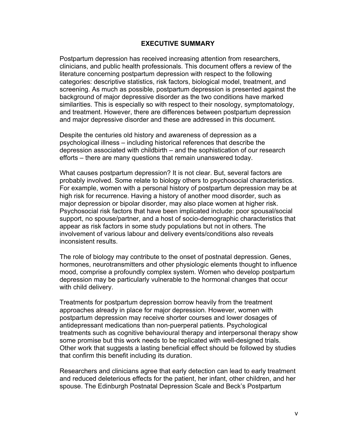#### **EXECUTIVE SUMMARY**

Postpartum depression has received increasing attention from researchers, clinicians, and public health professionals. This document offers a review of the literature concerning postpartum depression with respect to the following categories: descriptive statistics, risk factors, biological model, treatment, and screening. As much as possible, postpartum depression is presented against the background of major depressive disorder as the two conditions have marked similarities. This is especially so with respect to their nosology, symptomatology, and treatment. However, there are differences between postpartum depression and major depressive disorder and these are addressed in this document.

Despite the centuries old history and awareness of depression as a psychological illness – including historical references that describe the depression associated with childbirth – and the sophistication of our research efforts – there are many questions that remain unanswered today.

What causes postpartum depression? It is not clear. But, several factors are probably involved. Some relate to biology others to psychosocial characteristics. For example, women with a personal history of postpartum depression may be at high risk for recurrence. Having a history of another mood disorder, such as major depression or bipolar disorder, may also place women at higher risk. Psychosocial risk factors that have been implicated include: poor spousal/social support, no spouse/partner, and a host of socio-demographic characteristics that appear as risk factors in some study populations but not in others. The involvement of various labour and delivery events/conditions also reveals inconsistent results.

The role of biology may contribute to the onset of postnatal depression. Genes, hormones, neurotransmitters and other physiologic elements thought to influence mood, comprise a profoundly complex system. Women who develop postpartum depression may be particularly vulnerable to the hormonal changes that occur with child delivery.

Treatments for postpartum depression borrow heavily from the treatment approaches already in place for major depression. However, women with postpartum depression may receive shorter courses and lower dosages of antidepressant medications than non-puerperal patients. Psychological treatments such as cognitive behavioural therapy and interpersonal therapy show some promise but this work needs to be replicated with well-designed trials. Other work that suggests a lasting beneficial effect should be followed by studies that confirm this benefit including its duration.

Researchers and clinicians agree that early detection can lead to early treatment and reduced deleterious effects for the patient, her infant, other children, and her spouse. The Edinburgh Postnatal Depression Scale and Beck's Postpartum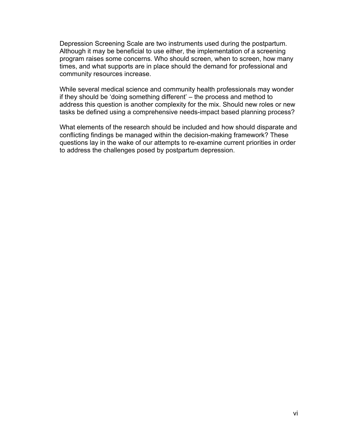Depression Screening Scale are two instruments used during the postpartum. Although it may be beneficial to use either, the implementation of a screening program raises some concerns. Who should screen, when to screen, how many times, and what supports are in place should the demand for professional and community resources increase.

While several medical science and community health professionals may wonder if they should be 'doing something different' – the process and method to address this question is another complexity for the mix. Should new roles or new tasks be defined using a comprehensive needs-impact based planning process?

What elements of the research should be included and how should disparate and conflicting findings be managed within the decision-making framework? These questions lay in the wake of our attempts to re-examine current priorities in order to address the challenges posed by postpartum depression.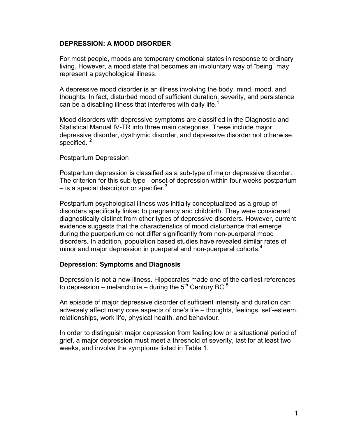## **DEPRESSION: A MOOD DISORDER**

For most people, moods are temporary emotional states in response to ordinary living. However, a mood state that becomes an involuntary way of "being" may represent a psychological illness.

A depressive mood disorder is an illness involving the body, mind, mood, and thoughts. In fact, disturbed mood of sufficient duration, severity, and persistence can be a disabling illness that interferes with daily life.<sup>1</sup>

Mood disorders with depressive symptoms are classified in the Diagnostic and Statistical Manual IV-TR into three main categories. These include major depressive disorder, dysthymic disorder, and depressive disorder not otherwise specified.  $2$ 

#### Postpartum Depression

Postpartum depression is classified as a sub-type of major depressive disorder. The criterion for this sub-type - onset of depression within four weeks postpartum – is a special descriptor or specifier.<sup>3</sup>

Postpartum psychological illness was initially conceptualized as a group of disorders specifically linked to pregnancy and childbirth. They were considered diagnostically distinct from other types of depressive disorders. However, current evidence suggests that the characteristics of mood disturbance that emerge during the puerperium do not differ significantly from non-puerperal mood disorders. In addition, population based studies have revealed similar rates of minor and major depression in puerperal and non-puerperal cohorts.<sup>4</sup>

### **Depression: Symptoms and Diagnosis**

Depression is not a new illness. Hippocrates made one of the earliest references to depression – melancholia – during the 5<sup>th</sup> Century BC.<sup>5</sup>

An episode of major depressive disorder of sufficient intensity and duration can adversely affect many core aspects of one's life – thoughts, feelings, self-esteem, relationships, work life, physical health, and behaviour.

In order to distinguish major depression from feeling low or a situational period of grief, a major depression must meet a threshold of severity, last for at least two weeks, and involve the symptoms listed in Table 1.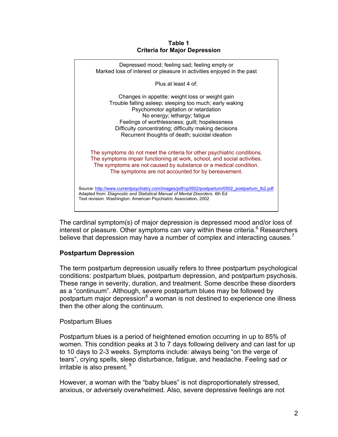#### **Table 1 Criteria for Major Depression**



The cardinal symptom(s) of major depression is depressed mood and/or loss of interest or pleasure. Other symptoms can vary within these criteria.<sup>6</sup> Researchers believe that depression may have a number of complex and interacting causes.

## **Postpartum Depression**

The term postpartum depression usually refers to three postpartum psychological conditions: postpartum blues, postpartum depression, and postpartum psychosis. These range in severity, duration, and treatment. Some describe these disorders as a "continuum". Although, severe postpartum blues may be followed by postpartum major depression<sup>8</sup> a woman is not destined to experience one illness then the other along the continuum.

## Postpartum Blues

Postpartum blues is a period of heightened emotion occurring in up to 85% of women. This condition peaks at 3 to 7 days following delivery and can last for up to 10 days to 2-3 weeks. Symptoms include: always being "on the verge of tears", crying spells, sleep disturbance, fatigue, and headache. Feeling sad or irritable is also present.  $\frac{8}{3}$ 

However, a woman with the "baby blues" is not disproportionately stressed, anxious, or adversely overwhelmed. Also, severe depressive feelings are not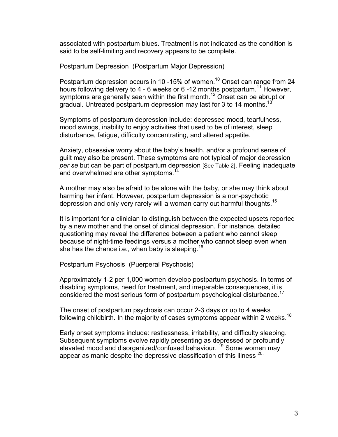associated with postpartum blues. Treatment is not indicated as the condition is said to be self-limiting and recovery appears to be complete.

Postpartum Depression (Postpartum Major Depression)

Postpartum depression occurs in 10 -15% of women.<sup>10</sup> Onset can range from 24 hours following delivery to 4 - 6 weeks or 6 -12 months postpartum.<sup>11</sup> However, symptoms are generally seen within the first month.<sup>12</sup> Onset can be abrupt or gradual. Untreated postpartum depression may last for 3 to 14 months.<sup>13</sup>

Symptoms of postpartum depression include: depressed mood, tearfulness, mood swings, inability to enjoy activities that used to be of interest, sleep disturbance, fatigue, difficulty concentrating, and altered appetite.

Anxiety, obsessive worry about the baby's health, and/or a profound sense of guilt may also be present. These symptoms are not typical of major depression *per se* but can be part of postpartum depression [See Table 2]. Feeling inadequate and overwhelmed are other symptoms.<sup>14</sup>

A mother may also be afraid to be alone with the baby, or she may think about harming her infant. However, postpartum depression is a non-psychotic depression and only very rarely will a woman carry out harmful thoughts.15

It is important for a clinician to distinguish between the expected upsets reported by a new mother and the onset of clinical depression. For instance, detailed questioning may reveal the difference between a patient who cannot sleep because of night-time feedings versus a mother who cannot sleep even when she has the chance i.e., when baby is sleeping.<sup>16</sup>

Postpartum Psychosis (Puerperal Psychosis)

Approximately 1-2 per 1,000 women develop postpartum psychosis. In terms of disabling symptoms, need for treatment, and irreparable consequences, it is considered the most serious form of postpartum psychological disturbance.<sup>17</sup>

The onset of postpartum psychosis can occur 2-3 days or up to 4 weeks following childbirth. In the majority of cases symptoms appear within 2 weeks.<sup>18</sup>

Early onset symptoms include: restlessness, irritability, and difficulty sleeping. Subsequent symptoms evolve rapidly presenting as depressed or profoundly elevated mood and disorganized/confused behaviour.<sup>19</sup> Some women may appear as manic despite the depressive classification of this illness <sup>20.</sup>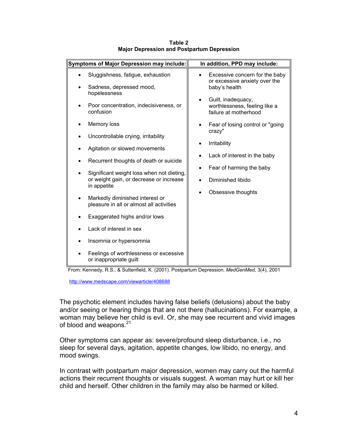| Symptoms of Major Depression may include: |                                                                                                     | In addition, PPD may include:                                                                 |  |
|-------------------------------------------|-----------------------------------------------------------------------------------------------------|-----------------------------------------------------------------------------------------------|--|
|                                           | Sluggishness, fatigue, exhaustion<br>Sadness, depressed mood,<br>hopelessness                       | Excessive concern for the baby<br>$\bullet$<br>or excessive anxiety over the<br>baby's health |  |
|                                           | Poor concentration, indecisiveness, or<br>confusion                                                 | Guilt, inadequacy,<br>worthlessness, feeling like a<br>failure at motherhood                  |  |
|                                           | Memory loss                                                                                         | Fear of losing control or "going"<br>crazy"<br>Irritability<br>Lack of interest in the baby   |  |
|                                           | Uncontrollable crying, irritability                                                                 |                                                                                               |  |
|                                           | Agitation or slowed movements                                                                       |                                                                                               |  |
|                                           | Recurrent thoughts of death or suicide                                                              | Fear of harming the baby                                                                      |  |
|                                           | Significant weight loss when not dieting,<br>or weight gain, or decrease or increase<br>in appetite | Diminished libido<br>Obsessive thoughts                                                       |  |
|                                           | Markedly diminished interest or<br>pleasure in all or almost all activities                         |                                                                                               |  |
|                                           | Exaggerated highs and/or lows                                                                       |                                                                                               |  |
|                                           | Lack of interest in sex                                                                             |                                                                                               |  |
|                                           | Insomnia or hypersomnia                                                                             |                                                                                               |  |
|                                           | Feelings of worthlessness or excessive<br>or inappropriate guilt                                    |                                                                                               |  |

#### **Table 2 Major Depression and Postpartum Depression**

From: Kennedy, R.S., & Suttenfield, K. (2001). Postpartum Depression. *MedGenMed*, 3(4), 2001

http://www.medscape.com/viewarticle/408688

The psychotic element includes having false beliefs (delusions) about the baby and/or seeing or hearing things that are not there (hallucinations). For example, a woman may believe her child is evil. Or, she may see recurrent and vivid images of blood and weapons.<sup>21</sup>

Other symptoms can appear as: severe/profound sleep disturbance, i.e., no sleep for several days, agitation, appetite changes, low libido, no energy, and mood swings.

In contrast with postpartum major depression, women may carry out the harmful actions their recurrent thoughts or visuals suggest. A woman may hurt or kill her child and herself. Other children in the family may also be harmed or killed.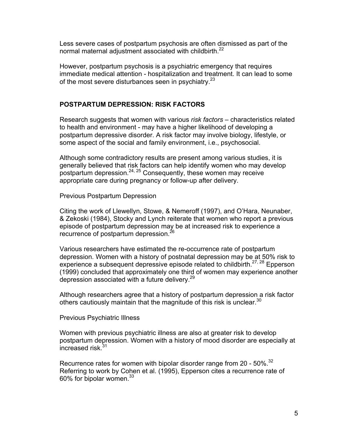Less severe cases of postpartum psychosis are often dismissed as part of the normal maternal adjustment associated with childbirth.<sup>22</sup>

However, postpartum psychosis is a psychiatric emergency that requires immediate medical attention - hospitalization and treatment. It can lead to some of the most severe disturbances seen in psychiatry.<sup>23</sup>

## **POSTPARTUM DEPRESSION: RISK FACTORS**

Research suggests that women with various *risk factors –* characteristics related to health and environment - may have a higher likelihood of developing a postpartum depressive disorder. A risk factor may involve biology, lifestyle, or some aspect of the social and family environment, i.e., psychosocial.

Although some contradictory results are present among various studies, it is generally believed that risk factors can help identify women who may develop postpartum depression.<sup>24, 25</sup> Consequently, these women may receive appropriate care during pregnancy or follow-up after delivery.

Previous Postpartum Depression

Citing the work of Llewellyn, Stowe, & Nemeroff (1997), and O'Hara, Neunaber, & Zekoski (1984), Stocky and Lynch reiterate that women who report a previous episode of postpartum depression may be at increased risk to experience a recurrence of postpartum depression.<sup>26</sup>

Various researchers have estimated the re-occurrence rate of postpartum depression. Women with a history of postnatal depression may be at 50% risk to experience a subsequent depressive episode related to childbirth.<sup>27, 28</sup> Epperson (1999) concluded that approximately one third of women may experience another depression associated with a future delivery. $29$ 

Although researchers agree that a history of postpartum depression a risk factor others cautiously maintain that the magnitude of this risk is unclear.  $30$ 

Previous Psychiatric Illness

Women with previous psychiatric illness are also at greater risk to develop postpartum depression. Women with a history of mood disorder are especially at increased risk.<sup>31</sup>

Recurrence rates for women with bipolar disorder range from 20 -  $50\%$ <sup>32</sup> Referring to work by Cohen et al. (1995), Epperson cites a recurrence rate of 60% for bipolar women.  $33$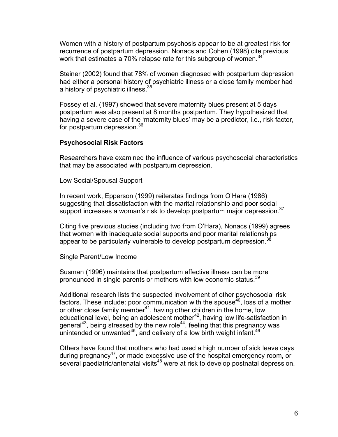Women with a history of postpartum psychosis appear to be at greatest risk for recurrence of postpartum depression. Nonacs and Cohen (1998) cite previous work that estimates a 70% relapse rate for this subgroup of women.<sup>34</sup>

Steiner (2002) found that 78% of women diagnosed with postpartum depression had either a personal history of psychiatric illness or a close family member had a history of psychiatric illness.35

Fossey et al. (1997) showed that severe maternity blues present at 5 days postpartum was also present at 8 months postpartum. They hypothesized that having a severe case of the 'maternity blues' may be a predictor, i.e., risk factor, for postpartum depression.<sup>36</sup>

### **Psychosocial Risk Factors**

Researchers have examined the influence of various psychosocial characteristics that may be associated with postpartum depression.

Low Social/Spousal Support

In recent work, Epperson (1999) reiterates findings from O'Hara (1986) suggesting that dissatisfaction with the marital relationship and poor social support increases a woman's risk to develop postpartum major depression.<sup>37</sup>

Citing five previous studies (including two from O'Hara), Nonacs (1999) agrees that women with inadequate social supports and poor marital relationships appear to be particularly vulnerable to develop postpartum depression.<sup>38</sup>

Single Parent/Low Income

Susman (1996) maintains that postpartum affective illness can be more pronounced in single parents or mothers with low economic status.<sup>39</sup>

Additional research lists the suspected involvement of other psychosocial risk factors. These include: poor communication with the spouse<sup>40</sup>, loss of a mother or other close family member<sup>41</sup>, having other children in the home, low educational level, being an adolescent mother $42$ , having low life-satisfaction in general<sup>43</sup>, being stressed by the new role<sup>44</sup>, feeling that this pregnancy was unintended or unwanted<sup>45</sup>, and delivery of a low birth weight infant.<sup>46</sup>

Others have found that mothers who had used a high number of sick leave days during pregnancy<sup>47</sup>, or made excessive use of the hospital emergency room, or several paediatric/antenatal visits<sup>48</sup> were at risk to develop postnatal depression.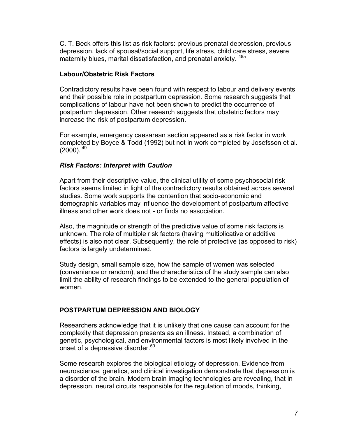C. T. Beck offers this list as risk factors: previous prenatal depression, previous depression, lack of spousal/social support, life stress, child care stress, severe maternity blues, marital dissatisfaction, and prenatal anxiety. <sup>48a</sup>

### **Labour/Obstetric Risk Factors**

Contradictory results have been found with respect to labour and delivery events and their possible role in postpartum depression. Some research suggests that complications of labour have not been shown to predict the occurrence of postpartum depression. Other research suggests that obstetric factors may increase the risk of postpartum depression.

For example, emergency caesarean section appeared as a risk factor in work completed by Boyce & Todd (1992) but not in work completed by Josefsson et al.  $(2000)$ .  $^{49}$ 

## *Risk Factors: Interpret with Caution*

Apart from their descriptive value, the clinical utility of some psychosocial risk factors seems limited in light of the contradictory results obtained across several studies. Some work supports the contention that socio-economic and demographic variables may influence the development of postpartum affective illness and other work does not - or finds no association.

Also, the magnitude or strength of the predictive value of some risk factors is unknown. The role of multiple risk factors (having multiplicative or additive effects) is also not clear. Subsequently, the role of protective (as opposed to risk) factors is largely undetermined.

Study design, small sample size, how the sample of women was selected (convenience or random), and the characteristics of the study sample can also limit the ability of research findings to be extended to the general population of women.

## **POSTPARTUM DEPRESSION AND BIOLOGY**

Researchers acknowledge that it is unlikely that one cause can account for the complexity that depression presents as an illness. Instead, a combination of genetic, psychological, and environmental factors is most likely involved in the onset of a depressive disorder.<sup>50</sup>

Some research explores the biological etiology of depression. Evidence from neuroscience, genetics, and clinical investigation demonstrate that depression is a disorder of the brain. Modern brain imaging technologies are revealing, that in depression, neural circuits responsible for the regulation of moods, thinking,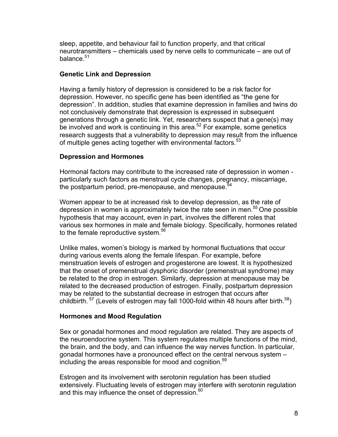sleep, appetite, and behaviour fail to function properly, and that critical neurotransmitters – chemicals used by nerve cells to communicate – are out of balance.<sup>51</sup>

## **Genetic Link and Depression**

Having a family history of depression is considered to be a risk factor for depression. However, no specific gene has been identified as "the gene for depression". In addition, studies that examine depression in families and twins do not conclusively demonstrate that depression is expressed in subsequent generations through a genetic link. Yet, researchers suspect that a gene(s) may be involved and work is continuing in this area.<sup>52</sup> For example, some genetics research suggests that a vulnerability to depression may result from the influence of multiple genes acting together with environmental factors.<sup>53</sup>

## **Depression and Hormones**

Hormonal factors may contribute to the increased rate of depression in women particularly such factors as menstrual cycle changes, pregnancy, miscarriage, the postpartum period, pre-menopause, and menopause.<sup>54</sup>

Women appear to be at increased risk to develop depression, as the rate of depression in women is approximately twice the rate seen in men.<sup>55</sup> One possible hypothesis that may account, even in part, involves the different roles that various sex hormones in male and female biology. Specifically, hormones related to the female reproductive system.<sup>56</sup>

Unlike males, women's biology is marked by hormonal fluctuations that occur during various events along the female lifespan. For example, before menstruation levels of estrogen and progesterone are lowest. It is hypothesized that the onset of premenstrual dysphoric disorder (premenstrual syndrome) may be related to the drop in estrogen. Similarly, depression at menopause may be related to the decreased production of estrogen. Finally, postpartum depression may be related to the substantial decrease in estrogen that occurs after childbirth.  $57$  (Levels of estrogen may fall 1000-fold within 48 hours after birth.  $58$ )

## **Hormones and Mood Regulation**

Sex or gonadal hormones and mood regulation are related. They are aspects of the neuroendocrine system. This system regulates multiple functions of the mind, the brain, and the body, and can influence the way nerves function. In particular, gonadal hormones have a pronounced effect on the central nervous system – including the areas responsible for mood and cognition.<sup>59</sup>

Estrogen and its involvement with serotonin regulation has been studied extensively. Fluctuating levels of estrogen may interfere with serotonin regulation and this may influence the onset of depression. $60$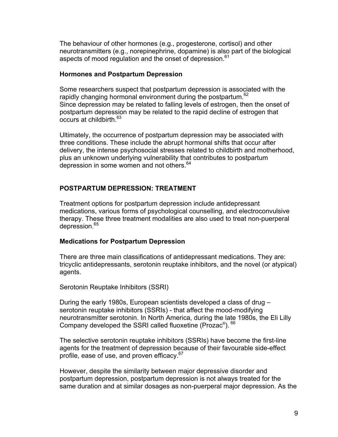The behaviour of other hormones (e.g., progesterone, cortisol) and other neurotransmitters (e.g., norepinephrine, dopamine) is also part of the biological aspects of mood regulation and the onset of depression.<sup>61</sup>

#### **Hormones and Postpartum Depression**

Some researchers suspect that postpartum depression is associated with the rapidly changing hormonal environment during the postpartum.<sup>62</sup> Since depression may be related to falling levels of estrogen, then the onset of postpartum depression may be related to the rapid decline of estrogen that  $\overline{\text{occurs}}$  at childbirth.  $63$ 

Ultimately, the occurrence of postpartum depression may be associated with three conditions. These include the abrupt hormonal shifts that occur after delivery, the intense psychosocial stresses related to childbirth and motherhood, plus an unknown underlying vulnerability that contributes to postpartum depression in some women and not others.<sup>64</sup>

## **POSTPARTUM DEPRESSION: TREATMENT**

Treatment options for postpartum depression include antidepressant medications, various forms of psychological counselling, and electroconvulsive therapy. These three treatment modalities are also used to treat non-puerperal depression.<sup>65</sup>

## **Medications for Postpartum Depression**

There are three main classifications of antidepressant medications. They are: tricyclic antidepressants, serotonin reuptake inhibitors, and the novel (or atypical) agents.

Serotonin Reuptake Inhibitors (SSRI)

During the early 1980s, European scientists developed a class of drug – serotonin reuptake inhibitors (SSRIs) - that affect the mood-modifying neurotransmitter serotonin. In North America, during the late 1980s, the Eli Lilly Company developed the SSRI called fluoxetine (Prozac®). 66

The selective serotonin reuptake inhibitors (SSRIs) have become the first-line agents for the treatment of depression because of their favourable side-effect profile, ease of use, and proven efficacy.<sup>67</sup>

However, despite the similarity between major depressive disorder and postpartum depression, postpartum depression is not always treated for the same duration and at similar dosages as non-puerperal major depression. As the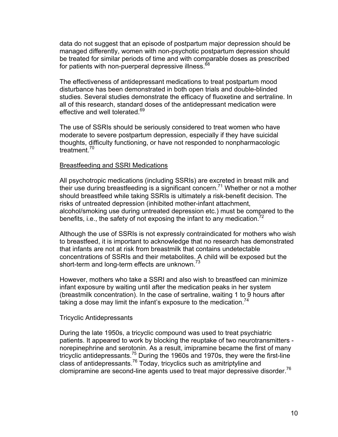data do not suggest that an episode of postpartum major depression should be managed differently, women with non-psychotic postpartum depression should be treated for similar periods of time and with comparable doses as prescribed for patients with non-puerperal depressive illness.<sup>68</sup>

The effectiveness of antidepressant medications to treat postpartum mood disturbance has been demonstrated in both open trials and double-blinded studies. Several studies demonstrate the efficacy of fluoxetine and sertraline. In all of this research, standard doses of the antidepressant medication were effective and well tolerated.<sup>69</sup>

The use of SSRIs should be seriously considered to treat women who have moderate to severe postpartum depression, especially if they have suicidal thoughts, difficulty functioning, or have not responded to nonpharmacologic treatment $^{70}$ 

#### Breastfeeding and SSRI Medications

All psychotropic medications (including SSRIs) are excreted in breast milk and their use during breastfeeding is a significant concern.<sup>71</sup> Whether or not a mother should breastfeed while taking SSRIs is ultimately a risk-benefit decision. The risks of untreated depression (inhibited mother-infant attachment, alcohol/smoking use during untreated depression etc.) must be compared to the benefits, i.e., the safety of not exposing the infant to any medication.<sup>72</sup>

Although the use of SSRIs is not expressly contraindicated for mothers who wish to breastfeed, it is important to acknowledge that no research has demonstrated that infants are not at risk from breastmilk that contains undetectable concentrations of SSRIs and their metabolites. A child will be exposed but the short-term and long-term effects are unknown.<sup>73</sup>

However, mothers who take a SSRI and also wish to breastfeed can minimize infant exposure by waiting until after the medication peaks in her system (breastmilk concentration). In the case of sertraline, waiting 1 to 9 hours after taking a dose may limit the infant's exposure to the medication.<sup>74</sup>

### Tricyclic Antidepressants

During the late 1950s, a tricyclic compound was used to treat psychiatric patients. It appeared to work by blocking the reuptake of two neurotransmitters norepinephrine and serotonin. As a result, imipramine became the first of many tricyclic antidepressants.<sup>75</sup> During the 1960s and 1970s, they were the first-line class of antidepressants.76 Today, tricyclics such as amitriptyline and clomipramine are second-line agents used to treat major depressive disorder.<sup>76</sup>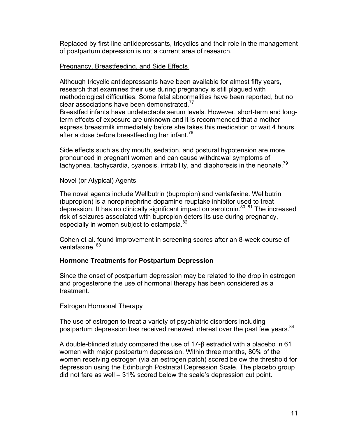Replaced by first-line antidepressants, tricyclics and their role in the management of postpartum depression is not a current area of research.

### Pregnancy, Breastfeeding, and Side Effects

Although tricyclic antidepressants have been available for almost fifty years, research that examines their use during pregnancy is still plagued with methodological difficulties. Some fetal abnormalities have been reported, but no clear associations have been demonstrated.<sup>77</sup>

Breastfed infants have undetectable serum levels. However, short-term and longterm effects of exposure are unknown and it is recommended that a mother express breastmilk immediately before she takes this medication or wait 4 hours after a dose before breastfeeding her infant.<sup>78</sup>

Side effects such as dry mouth, sedation, and postural hypotension are more pronounced in pregnant women and can cause withdrawal symptoms of tachypnea, tachycardia, cyanosis, irritability, and diaphoresis in the neonate.<sup>79</sup>

### Novel (or Atypical) Agents

The novel agents include Wellbutrin (bupropion) and venlafaxine. Wellbutrin (bupropion) is a norepinephrine dopamine reuptake inhibitor used to treat depression. It has no clinically significant impact on serotonin.<sup>80, 81</sup> The increased risk of seizures associated with bupropion deters its use during pregnancy, especially in women subject to eclampsia.<sup>82</sup>

Cohen et al. found improvement in screening scores after an 8-week course of venlafaxine. <sup>83</sup>

## **Hormone Treatments for Postpartum Depression**

Since the onset of postpartum depression may be related to the drop in estrogen and progesterone the use of hormonal therapy has been considered as a treatment.

Estrogen Hormonal Therapy

The use of estrogen to treat a variety of psychiatric disorders including postpartum depression has received renewed interest over the past few years.<sup>84</sup>

A double-blinded study compared the use of 17-β estradiol with a placebo in 61 women with major postpartum depression. Within three months, 80% of the women receiving estrogen (via an estrogen patch) scored below the threshold for depression using the Edinburgh Postnatal Depression Scale. The placebo group did not fare as well – 31% scored below the scale's depression cut point.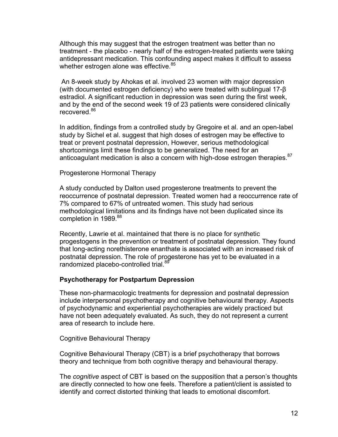Although this may suggest that the estrogen treatment was better than no treatment - the placebo - nearly half of the estrogen-treated patients were taking antidepressant medication. This confounding aspect makes it difficult to assess whether estrogen alone was effective.<sup>85</sup>

 An 8-week study by Ahokas et al. involved 23 women with major depression (with documented estrogen deficiency) who were treated with sublingual 17-β estradiol. A significant reduction in depression was seen during the first week, and by the end of the second week 19 of 23 patients were considered clinically recovered.<sup>86</sup>

In addition, findings from a controlled study by Gregoire et al. and an open-label study by Sichel et al. suggest that high doses of estrogen may be effective to treat or prevent postnatal depression, However, serious methodological shortcomings limit these findings to be generalized. The need for an anticoagulant medication is also a concern with high-dose estrogen therapies.<sup>87</sup>

Progesterone Hormonal Therapy

A study conducted by Dalton used progesterone treatments to prevent the reoccurrence of postnatal depression. Treated women had a reoccurrence rate of 7% compared to 67% of untreated women. This study had serious methodological limitations and its findings have not been duplicated since its completion in 1989.<sup>88</sup>

Recently, Lawrie et al. maintained that there is no place for synthetic progestogens in the prevention or treatment of postnatal depression. They found that long-acting norethisterone enanthate is associated with an increased risk of postnatal depression. The role of progesterone has yet to be evaluated in a randomized placebo-controlled trial.<sup>89</sup>

### **Psychotherapy for Postpartum Depression**

These non-pharmacologic treatments for depression and postnatal depression include interpersonal psychotherapy and cognitive behavioural therapy. Aspects of psychodynamic and experiential psychotherapies are widely practiced but have not been adequately evaluated. As such, they do not represent a current area of research to include here.

Cognitive Behavioural Therapy

Cognitive Behavioural Therapy (CBT) is a brief psychotherapy that borrows theory and technique from both cognitive therapy and behavioural therapy.

The *cognitive* aspect of CBT is based on the supposition that a person's thoughts are directly connected to how one feels. Therefore a patient/client is assisted to identify and correct distorted thinking that leads to emotional discomfort.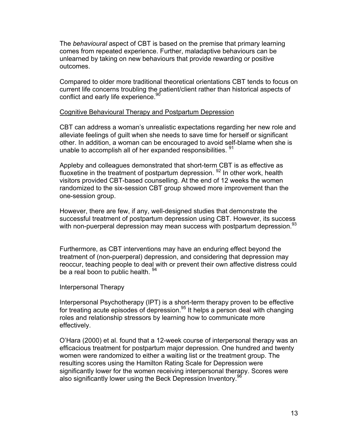The *behavioural* aspect of CBT is based on the premise that primary learning comes from repeated experience. Further, maladaptive behaviours can be unlearned by taking on new behaviours that provide rewarding or positive outcomes.

Compared to older more traditional theoretical orientations CBT tends to focus on current life concerns troubling the patient/client rather than historical aspects of conflict and early life experience.<sup>90</sup>

#### Cognitive Behavioural Therapy and Postpartum Depression

CBT can address a woman's unrealistic expectations regarding her new role and alleviate feelings of guilt when she needs to save time for herself or significant other. In addition, a woman can be encouraged to avoid self-blame when she is unable to accomplish all of her expanded responsibilities. <sup>91</sup>

Appleby and colleagues demonstrated that short-term CBT is as effective as fluoxetine in the treatment of postpartum depression.  $92$  In other work, health visitors provided CBT-based counselling. At the end of 12 weeks the women randomized to the six-session CBT group showed more improvement than the one-session group.

However, there are few, if any, well-designed studies that demonstrate the successful treatment of postpartum depression using CBT. However, its success with non-puerperal depression may mean success with postpartum depression.<sup>93</sup>

Furthermore, as CBT interventions may have an enduring effect beyond the treatment of (non-puerperal) depression, and considering that depression may reoccur, teaching people to deal with or prevent their own affective distress could be a real boon to public health. <sup>94</sup>

#### Interpersonal Therapy

Interpersonal Psychotherapy (IPT) is a short-term therapy proven to be effective for treating acute episodes of depression.<sup>95</sup> It helps a person deal with changing roles and relationship stressors by learning how to communicate more effectively.

O'Hara (2000) et al. found that a 12-week course of interpersonal therapy was an efficacious treatment for postpartum major depression. One hundred and twenty women were randomized to either a waiting list or the treatment group. The resulting scores using the Hamilton Rating Scale for Depression were significantly lower for the women receiving interpersonal therapy. Scores were also significantly lower using the Beck Depression Inventory.<sup>96</sup>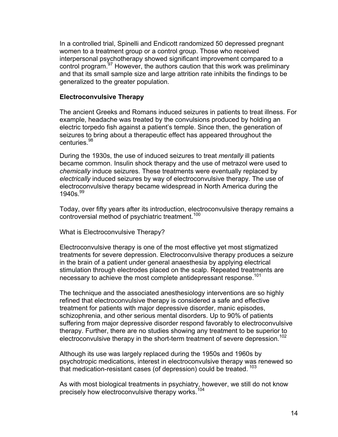In a controlled trial, Spinelli and Endicott randomized 50 depressed pregnant women to a treatment group or a control group. Those who received interpersonal psychotherapy showed significant improvement compared to a control program.<sup>97</sup> However, the authors caution that this work was preliminary and that its small sample size and large attrition rate inhibits the findings to be generalized to the greater population.

#### **Electroconvulsive Therapy**

The ancient Greeks and Romans induced seizures in patients to treat illness. For example, headache was treated by the convulsions produced by holding an electric torpedo fish against a patient's temple. Since then, the generation of seizures to bring about a therapeutic effect has appeared throughout the centuries.<sup>98</sup>

During the 1930s, the use of induced seizures to treat *mentally* ill patients became common. Insulin shock therapy and the use of metrazol were used to *chemically* induce seizures. These treatments were eventually replaced by *electrically* induced seizures by way of electroconvulsive therapy. The use of electroconvulsive therapy became widespread in North America during the  $1940s^{99}$ 

Today, over fifty years after its introduction, electroconvulsive therapy remains a controversial method of psychiatric treatment.<sup>100</sup>

What is Electroconvulsive Therapy?

Electroconvulsive therapy is one of the most effective yet most stigmatized treatments for severe depression. Electroconvulsive therapy produces a seizure in the brain of a patient under general anaesthesia by applying electrical stimulation through electrodes placed on the scalp. Repeated treatments are necessary to achieve the most complete antidepressant response.<sup>101</sup>

The technique and the associated anesthesiology interventions are so highly refined that electroconvulsive therapy is considered a safe and effective treatment for patients with major depressive disorder, manic episodes, schizophrenia, and other serious mental disorders. Up to 90% of patients suffering from major depressive disorder respond favorably to electroconvulsive therapy. Further, there are no studies showing any treatment to be superior to electroconvulsive therapy in the short-term treatment of severe depression.<sup>102</sup>

Although its use was largely replaced during the 1950s and 1960s by psychotropic medications, interest in electroconvulsive therapy was renewed so that medication-resistant cases (of depression) could be treated.<sup>103</sup>

As with most biological treatments in psychiatry, however, we still do not know precisely how electroconvulsive therapy works.<sup>104</sup>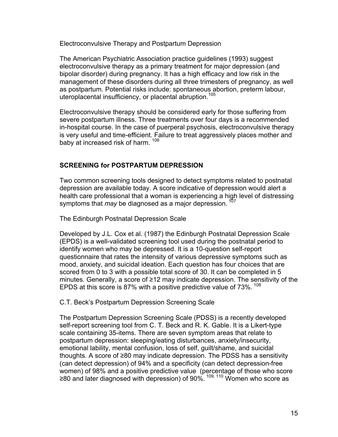Electroconvulsive Therapy and Postpartum Depression

The American Psychiatric Association practice guidelines (1993) suggest electroconvulsive therapy as a primary treatment for major depression (and bipolar disorder) during pregnancy. It has a high efficacy and low risk in the management of these disorders during all three trimesters of pregnancy, as well as postpartum. Potential risks include: spontaneous abortion, preterm labour, uteroplacental insufficiency, or placental abruption.105

Electroconvulsive therapy should be considered early for those suffering from severe postpartum illness. Three treatments over four days is a recommended in-hospital course. In the case of puerperal psychosis, electroconvulsive therapy is very useful and time-efficient. Failure to treat aggressively places mother and baby at increased risk of harm. <sup>106</sup>

## **SCREENING for POSTPARTUM DEPRESSION**

Two common screening tools designed to detect symptoms related to postnatal depression are available today. A score indicative of depression would alert a health care professional that a woman is experiencing a high level of distressing symptoms that *may* be diagnosed as a major depression.<sup>107</sup>

The Edinburgh Postnatal Depression Scale

Developed by J.L. Cox et al. (1987) the Edinburgh Postnatal Depression Scale (EPDS) is a well-validated screening tool used during the postnatal period to identify women who may be depressed. It is a 10-question self-report questionnaire that rates the intensity of various depressive symptoms such as mood, anxiety, and suicidal ideation. Each question has four choices that are scored from 0 to 3 with a possible total score of 30. It can be completed in 5 minutes. Generally, a score of ≥12 may indicate depression. The sensitivity of the EPDS at this score is 87% with a positive predictive value of  $73\%$ .  $^{108}$ 

C.T. Beck's Postpartum Depression Screening Scale

The Postpartum Depression Screening Scale (PDSS) is a recently developed self-report screening tool from C. T. Beck and R. K. Gable. It is a Likert-type scale containing 35-items. There are seven symptom areas that relate to postpartum depression: sleeping/eating disturbances, anxiety/insecurity, emotional lability, mental confusion, loss of self, guilt/shame, and suicidal thoughts. A score of ≥80 may indicate depression. The PDSS has a sensitivity (can detect depression) of 94% and a specificity (can detect depression-free women) of 98% and a positive predictive value (percentage of those who score ≥80 and later diagnosed with depression) of 90%. <sup>109, 110</sup> Women who score as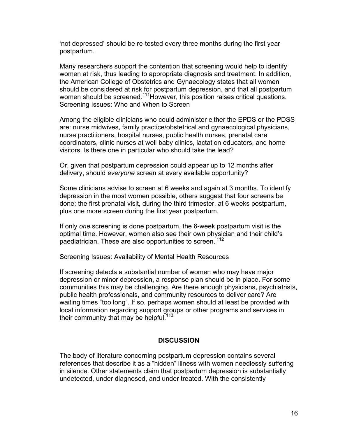'not depressed' should be re-tested every three months during the first year postpartum.

Many researchers support the contention that screening would help to identify women at risk, thus leading to appropriate diagnosis and treatment. In addition, the American College of Obstetrics and Gynaecology states that all women should be considered at risk for postpartum depression, and that all postpartum women should be screened.<sup>111</sup>However, this position raises critical questions. Screening Issues: Who and When to Screen

Among the eligible clinicians who could administer either the EPDS or the PDSS are: nurse midwives, family practice/obstetrical and gynaecological physicians, nurse practitioners, hospital nurses, public health nurses, prenatal care coordinators, clinic nurses at well baby clinics, lactation educators, and home visitors. Is there one in particular who should take the lead?

Or, given that postpartum depression could appear up to 12 months after delivery, should *everyone* screen at every available opportunity?

Some clinicians advise to screen at 6 weeks and again at 3 months. To identify depression in the most women possible, others suggest that four screens be done: the first prenatal visit, during the third trimester, at 6 weeks postpartum, plus one more screen during the first year postpartum.

If only *one* screening is done postpartum, the 6-week postpartum visit is the optimal time. However, women also see their own physician and their child's paediatrician. These are also opportunities to screen. <sup>112</sup>

Screening Issues: Availability of Mental Health Resources

If screening detects a substantial number of women who may have major depression or minor depression, a response plan should be in place. For some communities this may be challenging. Are there enough physicians, psychiatrists, public health professionals, and community resources to deliver care? Are waiting times "too long". If so, perhaps women should at least be provided with local information regarding support groups or other programs and services in their community that may be helpful.<sup>113</sup>

### **DISCUSSION**

The body of literature concerning postpartum depression contains several references that describe it as a "hidden" illness with women needlessly suffering in silence. Other statements claim that postpartum depression is substantially undetected, under diagnosed, and under treated. With the consistently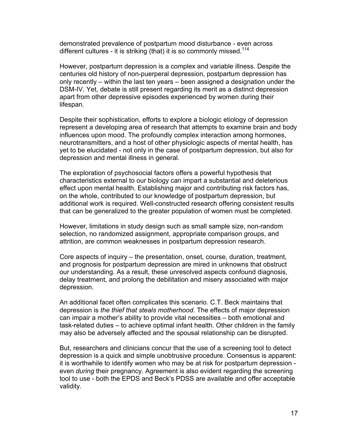demonstrated prevalence of postpartum mood disturbance - even across different cultures - it is striking (that) it is so commonly missed.<sup>114</sup>

However, postpartum depression is a complex and variable illness. Despite the centuries old history of non-puerperal depression, postpartum depression has only recently – within the last ten years – been assigned a designation under the DSM-IV. Yet, debate is still present regarding its merit as a distinct depression apart from other depressive episodes experienced by women during their lifespan.

Despite their sophistication, efforts to explore a biologic etiology of depression represent a developing area of research that attempts to examine brain and body influences upon mood. The profoundly complex interaction among hormones, neurotransmitters, and a host of other physiologic aspects of mental health, has yet to be elucidated - not only in the case of postpartum depression, but also for depression and mental illness in general.

The exploration of psychosocial factors offers a powerful hypothesis that characteristics external to our biology can impart a substantial and deleterious effect upon mental health. Establishing major and contributing risk factors has, on the whole, contributed to our knowledge of postpartum depression, but additional work is required. Well-constructed research offering consistent results that can be generalized to the greater population of women must be completed.

However, limitations in study design such as small sample size, non-random selection, no randomized assignment, appropriate comparison groups, and attrition, are common weaknesses in postpartum depression research.

Core aspects of inquiry – the presentation, onset, course, duration, treatment, and prognosis for postpartum depression are mired in unknowns that obstruct our understanding. As a result, these unresolved aspects confound diagnosis, delay treatment, and prolong the debilitation and misery associated with major depression.

An additional facet often complicates this scenario. C.T. Beck maintains that depression is *the thief that steals motherhood*. The effects of major depression can impair a mother's ability to provide vital necessities – both emotional and task-related duties – to achieve optimal infant health. Other children in the family may also be adversely affected and the spousal relationship can be disrupted.

But, researchers and clinicians concur that the use of a screening tool to detect depression is a quick and simple unobtrusive procedure. Consensus is apparent: it is worthwhile to identify women who may be at risk for postpartum depression even *during* their pregnancy. Agreement is also evident regarding the screening tool to use - both the EPDS and Beck's PDSS are available and offer acceptable validity.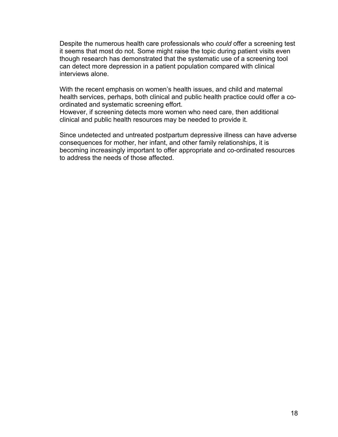Despite the numerous health care professionals who *could* offer a screening test it seems that most do not. Some might raise the topic during patient visits even though research has demonstrated that the systematic use of a screening tool can detect more depression in a patient population compared with clinical interviews alone.

With the recent emphasis on women's health issues, and child and maternal health services, perhaps, both clinical and public health practice could offer a coordinated and systematic screening effort.

However, if screening detects more women who need care, then additional clinical and public health resources may be needed to provide it.

Since undetected and untreated postpartum depressive illness can have adverse consequences for mother, her infant, and other family relationships, it is becoming increasingly important to offer appropriate and co-ordinated resources to address the needs of those affected.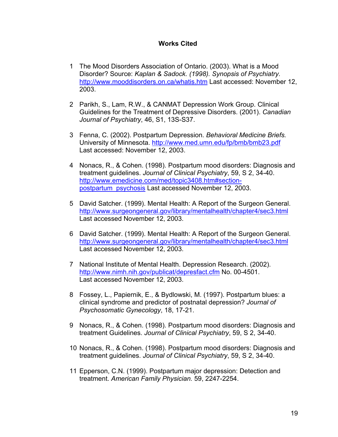## **Works Cited**

- 1 The Mood Disorders Association of Ontario. (2003). What is a Mood Disorder? Source: *Kaplan & Sadock. (1998). Synopsis of Psychiatry.* <http://www.mooddisorders.on.ca/whatis.htm>Last accessed: November 12, 2003.
- 2 Parikh, S., Lam, R.W., & CANMAT Depression Work Group. Clinical Guidelines for the Treatment of Depressive Disorders. (2001). *Canadian Journal of Psychiatry*, 46, S1, 13S-S37.
- 3 Fenna, C. (2002). Postpartum Depression. *Behavioral Medicine Briefs.* University of Minnesota. <http://www.med.umn.edu/fp/bmb/bmb23.pdf> Last accessed: November 12, 2003.
- 4 Nonacs, R., & Cohen. (1998). Postpartum mood disorders: Diagnosis and treatment guidelines. *Journal of Clinical Psychiatry*, 59, S 2, 34-40. [http://www.emedicine.com/med/topic3408.htm#section](http://www.emedicine.com/med/topic3408.htm#section-postpartum_psychosis)[postpartum\\_psychosis](http://www.emedicine.com/med/topic3408.htm#section-postpartum_psychosis) Last accessed November 12, 2003.
- 5 David Satcher. (1999). Mental Health: A Report of the Surgeon General. <http://www.surgeongeneral.gov/library/mentalhealth/chapter4/sec3.html> Last accessed November 12, 2003.
- 6 David Satcher. (1999). Mental Health: A Report of the Surgeon General. <http://www.surgeongeneral.gov/library/mentalhealth/chapter4/sec3.html> Last accessed November 12, 2003.
- 7 National Institute of Mental Health. Depression Research. (2002). <http://www.nimh.nih.gov/publicat/depresfact.cfm>No. 00-4501. Last accessed November 12, 2003.
- 8 Fossey, L., Papiernik, E., & Bydlowski, M. (1997). Postpartum blues: a clinical syndrome and predictor of postnatal depression? *Journal of Psychosomatic Gynecology*, 18, 17-21.
- 9 Nonacs, R., & Cohen. (1998). Postpartum mood disorders: Diagnosis and treatment Guidelines. *Journal of Clinical Psychiatry*, 59, S 2, 34-40.
- 10 Nonacs, R., & Cohen. (1998). Postpartum mood disorders: Diagnosis and treatment guidelines. *Journal of Clinical Psychiatry*, 59, S 2, 34-40.
- 11 Epperson, C.N. (1999). Postpartum major depression: Detection and treatment. *American Family Physician.* 59, 2247-2254.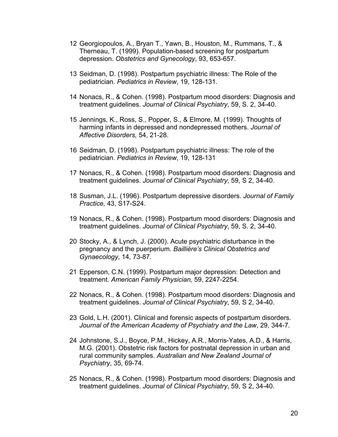- 12 Georgiopoulos, A., Bryan T., Yawn, B., Houston, M., Rummans, T., & Therneau, T. (1999). Population-based screening for postpartum depression. *Obstetrics and Gynecology*, 93, 653-657.
- 13 Seidman, D. (1998). Postpartum psychiatric illness: The Role of the pediatrician. *Pediatrics in Review*, 19, 128-131.
- 14 Nonacs, R., & Cohen. (1998). Postpartum mood disorders: Diagnosis and treatment guidelines. *Journal of Clinical Psychiatry*, 59, S. 2, 34-40.
- 15 Jennings, K., Ross, S., Popper, S., & Elmore, M. (1999). Thoughts of harming infants in depressed and nondepressed mothers. *Journal of Affective Disorders,* 54, 21-28.
- 16 Seidman, D. (1998). Postpartum psychiatric illness: The role of the pediatrician. *Pediatrics in Review*, 19, 128-131
- 17 Nonacs, R., & Cohen. (1998). Postpartum mood disorders: Diagnosis and treatment guidelines. *Journal of Clinical Psychiatry*, 59, S 2, 34-40.
- 18 Susman, J.L. (1996). Postpartum depressive disorders. *Journal of Family Practice,* 43, S17-S24.
- 19 Nonacs, R., & Cohen. (1998). Postpartum mood disorders: Diagnosis and treatment guidelines. *Journal of Clinical Psychiatry*, 59, S. 2, 34-40.
- 20 Stocky, A., & Lynch, J. (2000). Acute psychiatric disturbance in the pregnancy and the puerperium. *Baillière's Clinical Obstetrics and Gynaecology*, 14, 73-87.
- 21 Epperson, C.N. (1999). Postpartum major depression: Detection and treatment. *American Family Physician,* 59, 2247-2254.
- 22 Nonacs, R., & Cohen. (1998). Postpartum mood disorders: Diagnosis and treatment guidelines. *Journal of Clinical Psychiatry*, 59, S 2, 34-40.
- 23 Gold, L.H. (2001). Clinical and forensic aspects of postpartum disorders. *Journal of the American Academy of Psychiatry and the Law*, 29, 344-7*.*
- 24 Johnstone, S.J., Boyce, P.M., Hickey, A.R., Morris-Yates, A.D., & Harris, M.G. (2001). Obstetric risk factors for postnatal depression in urban and rural community samples. *Australian and New Zealand Journal of Psychiatry*, 35, 69-74.
- 25 Nonacs, R., & Cohen. (1998). Postpartum mood disorders: Diagnosis and treatment guidelines. *Journal of Clinical Psychiatry*, 59, S 2, 34-40.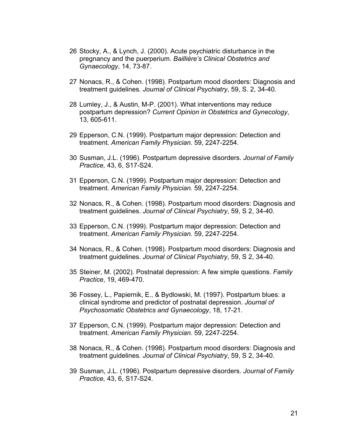- 26 Stocky, A., & Lynch, J. (2000). Acute psychiatric disturbance in the pregnancy and the puerperium. *Baillière's Clinical Obstetrics and Gynaecology*, 14, 73-87.
- 27 Nonacs, R., & Cohen. (1998). Postpartum mood disorders: Diagnosis and treatment guidelines. *Journal of Clinical Psychiatry*, 59, S. 2, 34-40.
- 28 Lumley, J., & Austin, M-P. (2001). What interventions may reduce postpartum depression? *Current Opinion in Obstetrics and Gynecology*, 13, 605-611.
- 29 Epperson, C.N. (1999). Postpartum major depression: Detection and treatment. *American Family Physician.* 59, 2247-2254.
- 30 Susman, J.L. (1996). Postpartum depressive disorders. *Journal of Family Practice,* 43, 6, S17-S24.
- 31 Epperson, C.N. (1999). Postpartum major depression: Detection and treatment. *American Family Physician.* 59, 2247-2254.
- 32 Nonacs, R., & Cohen. (1998). Postpartum mood disorders: Diagnosis and treatment guidelines. *Journal of Clinical Psychiatry*, 59, S 2, 34-40.
- 33 Epperson, C.N. (1999). Postpartum major depression: Detection and treatment. *American Family Physician.* 59, 2247-2254.
- 34 Nonacs, R., & Cohen. (1998). Postpartum mood disorders: Diagnosis and treatment guidelines. *Journal of Clinical Psychiatry*, 59, S 2, 34-40.
- 35 Steiner, M. (2002). Postnatal depression: A few simple questions. *Family Practice*, 19, 469-470.
- 36 Fossey, L., Papiernik, E., & Bydlowski, M. (1997). Postpartum blues: a clinical syndrome and predictor of postnatal depression. *Journal of Psychosomatic Obstetrics and Gynaecology*, 18, 17-21.
- 37 Epperson, C.N. (1999). Postpartum major depression: Detection and treatment. *American Family Physician.* 59, 2247-2254.
- 38 Nonacs, R., & Cohen. (1998). Postpartum mood disorders: Diagnosis and treatment guidelines. *Journal of Clinical Psychiatry*, 59, S 2, 34-40.
- 39 Susman, J.L. (1996). Postpartum depressive disorders. *Journal of Family Practice,* 43, 6, S17-S24.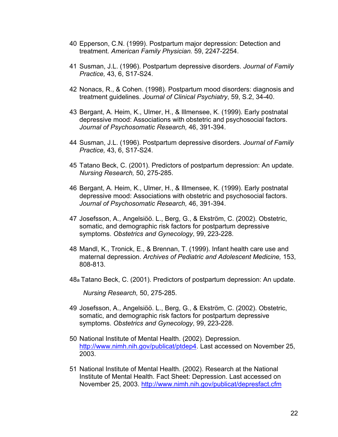- 40 Epperson, C.N. (1999). Postpartum major depression: Detection and treatment. *American Family Physician.* 59, 2247-2254.
- 41 Susman, J.L. (1996). Postpartum depressive disorders. *Journal of Family Practice,* 43, 6, S17-S24.
- 42 Nonacs, R., & Cohen. (1998). Postpartum mood disorders: diagnosis and treatment guidelines. *Journal of Clinical Psychiatry*, 59, S.2, 34-40.
- 43 Bergant, A. Heim, K., Ulmer, H., & Illmensee, K. (1999). Early postnatal depressive mood: Associations with obstetric and psychosocial factors. *Journal of Psychosomatic Research,* 46, 391-394.
- 44 Susman, J.L. (1996). Postpartum depressive disorders. *Journal of Family Practice,* 43, 6, S17-S24.
- 45 Tatano Beck, C. (2001). Predictors of postpartum depression: An update. *Nursing Research,* 50, 275-285.
- 46 Bergant, A. Heim, K., Ulmer, H., & Illmensee, K. (1999). Early postnatal depressive mood: Associations with obstetric and psychosocial factors. *Journal of Psychosomatic Research,* 46, 391-394.
- 47 Josefsson, A., Angelsiöö. L., Berg, G., & Ekström, C. (2002). Obstetric, somatic, and demographic risk factors for postpartum depressive symptoms. *Obstetrics and Gynecology*, 99, 223-228.
- 48 Mandl, K., Tronick, E., & Brennan, T. (1999). Infant health care use and maternal depression. *Archives of Pediatric and Adolescent Medicine,* 153, 808-813.
- 48a Tatano Beck, C. (2001). Predictors of postpartum depression: An update.

*Nursing Research,* 50, 275-285.

- 49 Josefsson, A., Angelsiöö. L., Berg, G., & Ekström, C. (2002). Obstetric, somatic, and demographic risk factors for postpartum depressive symptoms. *Obstetrics and Gynecology*, 99, 223-228.
- 50 [National Institute of Mental Health. \(2002](http://www.nimh.nih.gov/publicat/ptdep4)). Depression. http://www.nimh.nih.gov/publicat/ptdep4. Last accessed on November 25, 2003.
- 51 National Institute of Mental Health. (2002). Research at the National Institute of Mental H[ealth. Fact Sheet: Depression. Last accessed on](http://www.nimh.nih.gov/publicat/depresfact.cfm) November 25, 2003. http://www.nimh.nih.gov/publicat/depresfact.cfm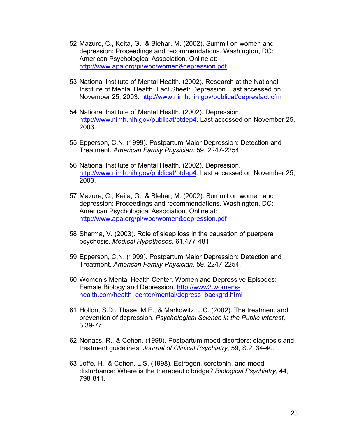- 52 Mazure, C., Keita, G., & Blehar, M. (2002). Summit on women and depression: Proceedings and recommendations. Washington, DC: American Psychological Association. Online at: <http://www.apa.org/pi/wpo/women&depression.pdf>
- 53 National Institute of Mental Health. (2002). Research at the National Institute of Mental Health. Fact Sheet: Depression. Last accessed on November 25, 2003.<http://www.nimh.nih.gov/publicat/depresfact.cfm>
- 54 National Institute of Mental Health. (2002). Depression. [http://www.nimh.nih.gov/publicat/ptdep4.](http://www.nimh.nih.gov/publicat/ptdep4) Last accessed on November 25, 2003.
- 55 Epperson, C.N. (1999). Postpartum Major Depression: Detection and Treatment. *American Family Physician.* 59, 2247-2254.
- 56 National Institute of Mental Health. (2002). Depression. [http://www.nimh.nih.gov/publicat/ptdep4.](http://www.nimh.nih.gov/publicat/ptdep4) Last accessed on November 25, 2003.
- 57 Mazure, C., Keita, G., & Blehar, M. (2002). Summit on women and depression: Proceedings and recommendations. Washington, DC: American Psychological Association. Online at: <http://www.apa.org/pi/wpo/women&depression.pdf>
- 58 Sharma, V. (2003). Role of sleep loss in the causation of puerperal psychosis. *Medical Hypotheses*, 61,477-481.
- 59 Epperson, C.N. (1999). Postpartum Major Depression: Detection and Treatment. *American Family Physician.* 59, 2247-2254.
- 60 Women's Mental Health Center. Women and Depressive Episodes: Female Biology and Depression. [http://www2.womens](http://www2.womens-health.com/health_center/mental/depress_backgrd.html)[health.com/health\\_center/mental/depress\\_backgrd.html](http://www2.womens-health.com/health_center/mental/depress_backgrd.html)
- 61 Hollon, S.D., Thase, M.E., & Markowitz, J.C. (2002). The treatment and prevention of depression. *Psychological Science in the Public Interest*, 3,39-77.
- 62 Nonacs, R., & Cohen. (1998). Postpartum mood disorders: diagnosis and treatment guidelines. *Journal of Clinical Psychiatry*, 59, S.2, 34-40.
- 63 Joffe, H., & Cohen, L.S. (1998). Estrogen, serotonin, and mood disturbance: Where is the therapeutic bridge? *Biological Psychiatry*, 44, 798-811.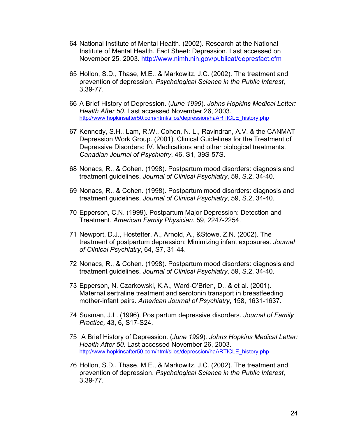- 64 National Institute of Mental Health. (2002). Research at the National Institute of Mental Health. Fact Sheet: Depression. Last accessed on November 25, 2003.<http://www.nimh.nih.gov/publicat/depresfact.cfm>
- 65 Hollon, S.D., Thase, M.E., & Markowitz, J.C. (2002). The treatment and prevention of depression. *Psychological Science in the Public Interest*, 3,39-77.
- 66 A Brief History of Depression. (*June 1999*). *Johns Hopkins Medical Letter: Health After 50*. Last accessed November 26, 2003. [http://www.hopkinsafter50.com/html/silos/depression/haARTICLE\\_history.php](http://www.hopkinsafter50.com/html/silos/depression/haARTICLE_history.php)
- 67 Kennedy, S.H., Lam, R.W., Cohen, N. L., Ravindran, A.V. & the CANMAT Depression Work Group. (2001). Clinical Guidelines for the Treatment of Depressive Disorders: IV. Medications and other biological treatments. *Canadian Journal of Psychiatry*, 46, S1, 39S-57S.
- 68 Nonacs, R., & Cohen. (1998). Postpartum mood disorders: diagnosis and treatment guidelines. *Journal of Clinical Psychiatry*, 59, S.2, 34-40.
- 69 Nonacs, R., & Cohen. (1998). Postpartum mood disorders: diagnosis and treatment guidelines. *Journal of Clinical Psychiatry*, 59, S.2, 34-40.
- 70 Epperson, C.N. (1999). Postpartum Major Depression: Detection and Treatment. *American Family Physician.* 59, 2247-2254.
- 71 Newport, D.J., Hostetter, A., Arnold, A., &Stowe, Z.N. (2002). The treatment of postpartum depression: Minimizing infant exposures. *Journal of Clinical Psychiatry*, 64, S7, 31-44.
- 72 Nonacs, R., & Cohen. (1998). Postpartum mood disorders: diagnosis and treatment guidelines. *Journal of Clinical Psychiatry*, 59, S.2, 34-40.
- 73 Epperson, N. Czarkowski, K.A., Ward-O'Brien, D., & et al. (2001). Maternal sertraline treatment and serotonin transport in breastfeeding mother-infant pairs. *American Journal of Psychiatry*, 158, 1631-1637.
- 74 Susman, J.L. (1996). Postpartum depressive disorders. *Journal of Family Practice,* 43, 6, S17-S24.
- 75 A Brief History of Depression. (*June 1999*). *Johns Hopkins Medical Letter: Health After 50*. Last accessed November 26, 2003. [http://www.hopkinsafter50.com/html/silos/depression/haARTICLE\\_history.php](http://www.hopkinsafter50.com/html/silos/depression/haARTICLE_history.php)
- 76 Hollon, S.D., Thase, M.E., & Markowitz, J.C. (2002). The treatment and prevention of depression. *Psychological Science in the Public Interest*, 3,39-77.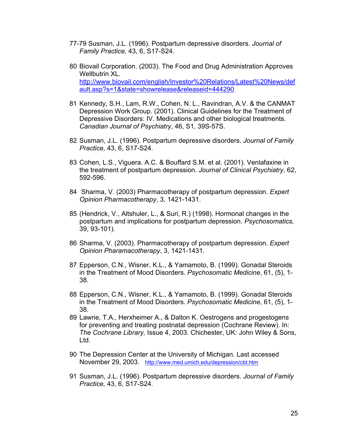- 77-79 Susman, J.L. (1996). Postpartum depressive disorders. *Journal of Family Practice,* 43, 6, S17-S24.
- 80 Biovail Corporation. (2003). The Food and Drug Administration Approves Wellbutrin XL. [http://www.biovail.com/english/Investor%20Relations/Latest%20News/def](http://www.biovail.com/english/Investor Relations/Latest News/default.asp?s=1&state=showrelease&releaseid=444290) [ault.asp?s=1&state=showrelease&releaseid=444290](http://www.biovail.com/english/Investor Relations/Latest News/default.asp?s=1&state=showrelease&releaseid=444290)
- 81 Kennedy, S.H., Lam, R.W., Cohen, N. L., Ravindran, A.V. & the CANMAT Depression Work Group. (2001). Clinical Guidelines for the Treatment of Depressive Disorders: IV. Medications and other biological treatments. *Canadian Journal of Psychiatry*, 46, S1, 39S-57S.
- 82 Susman, J.L. (1996). Postpartum depressive disorders. *Journal of Family Practice,* 43, 6, S17-S24.
- 83 Cohen, L.S., Viguera. A.C. & Bouffard S.M. et al. (2001). Venlafaxine in the treatment of postpartum depression. *Journal of Clinical Psychiatry*, 62, 592-596.
- 84 Sharma, V. (2003) Pharmacotherapy of postpartum depression. *Expert Opinion Pharmacotherapy*, 3, 1421-1431.
- 85 (Hendrick, V., Altshuler, L., & Suri, R.) (1998). Hormonal changes in the postpartum and implications for postpartum depression. *Psychosomatics,* 39, 93-101).
- 86 Sharma, V. (2003). Pharmacotherapy of postpartum depression. *Expert Opinion Pharamacotherapy*, 3, 1421-1431.
- 87 Epperson, C.N., Wisner, K.L., & Yamamoto, B. (1999). Gonadal Steroids in the Treatment of Mood Disorders. *Psychosomatic Medicine*, 61, (5), 1- 38.
- 88 Epperson, C.N., Wisner, K.L., & Yamamoto, B. (1999). Gonadal Steroids in the Treatment of Mood Disorders. *Psychosomatic Medicine*, 61, (5), 1- 38.
- 89 Lawrie, T.A., Herxheimer A., & Dalton K. Oestrogens and progestogens for preventing and treating postnatal depression (Cochrane Review). In: *The Cochrane Library,* Issue 4, 2003. Chichester, UK: John Wiley & Sons, Ltd.
- 90 The Depression Center at the University of Michigan. Last accessed November 29, 2003. <http://www.med.umich.edu/depression/cbt.htm>
- 91 Susman, J.L. (1996). Postpartum depressive disorders. *Journal of Family Practice,* 43, 6, S17-S24.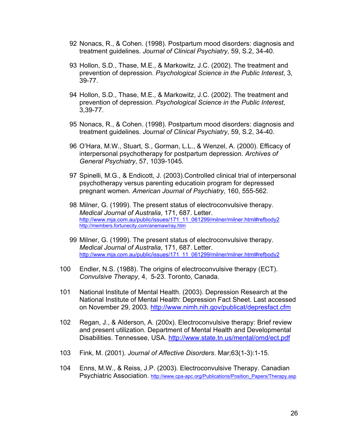- 92 Nonacs, R., & Cohen. (1998). Postpartum mood disorders: diagnosis and treatment guidelines. *Journal of Clinical Psychiatry*, 59, S.2, 34-40.
- 93 Hollon, S.D., Thase, M.E., & Markowitz, J.C. (2002). The treatment and prevention of depression. *Psychological Science in the Public Interest*, 3, 39-77.
- 94 Hollon, S.D., Thase, M.E., & Markowitz, J.C. (2002). The treatment and prevention of depression. *Psychological Science in the Public Interest*, 3,39-77.
- 95 Nonacs, R., & Cohen. (1998). Postpartum mood disorders: diagnosis and treatment guidelines. *Journal of Clinical Psychiatry*, 59, S.2, 34-40.
- 96 O'Hara, M.W., Stuart, S., Gorman, L.L., & Wenzel, A. (2000). Efficacy of interpersonal psychotherapy for postpartum depression. *Archives of General Psychiatry*, 57, 1039-1045.
- 97 Spinelli, M.G., & Endicott, J. (2003).Controlled clinical trial of interpersonal psychotherapy versus parenting educatioin program for depressed pregnant women. *American Journal of Psychiatry*, 160, 555-562.
- 98 Milner, G. (1999). The present status of electroconvulsive therapy. *Medical Journal of Australia*, 171, 687. Letter. [http://www.mja.com.au/public/issues/171\\_11\\_061299/milner/milner.html#refbody2](http://www.mja.com.au/public/issues/171_11_061299/milner/milner.html#refbody2) <http://members.fortunecity.com/anemaw/ray.htm>
- 99 Milner, G. (1999). The present status of electroconvulsive therapy. *Medical Journal of Australia*, 171, 687. Letter. [http://www.mja.com.au/public/issues/171\\_11\\_061299/milner/milner.html#refbody2](http://www.mja.com.au/public/issues/171_11_061299/milner/milner.html#refbody2)
- 100 Endler, N.S. (1988). The origins of electroconvulsive therapy (ECT). *Convulsive Therapy*, 4, 5-23. Toronto, Canada.
- 101 National Institute of Mental Health. (2003). Depression Research at the National Institute of Mental Health: Depression Fact Sheet. Last accessed on November 29, 2003. <http://www.nimh.nih.gov/publicat/depresfact.cfm>
- 102 Regan, J., & Alderson, A. (200x). Electroconvulsive therapy: Brief review and present utilization. Department of Mental Health and Developmental Disabilities. Tennessee, USA.<http://www.state.tn.us/mental/omd/ect.pdf>
- 103 Fink, M. (2001). *Journal of Affective Disorders*. Mar;63(1-3):1-15.
- 104 Enns, M.W., & Reiss, J.P. (2003). Electroconvulsive Therapy. Canadian Psychiatric Association. [http://www.cpa-apc.org/Publications/Position\\_Papers/Therapy.asp](http://www.cpa-apc.org/Publications/Position_Papers/Therapy.asp)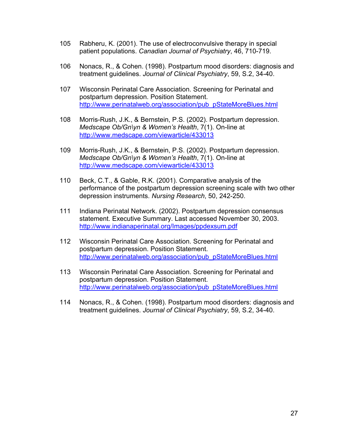- 105 Rabheru, K. (2001). The use of electroconvulsive therapy in special patient populations. *Canadian Journal of Psychiatry*, 46, 710-719.
- 106 Nonacs, R., & Cohen. (1998). Postpartum mood disorders: diagnosis and treatment guidelines. *Journal of Clinical Psychiatry*, 59, S.2, 34-40.
- 107 Wisconsin Perinatal Care Association. Screening for Perinatal and postpartum depression. Position Statement. [http://www.perinatalweb.org/association/pub\\_pStateMoreBlues.html](http://www.perinatalweb.org/association/pub_pStateMoreBlues.html)
- 108 Morris-Rush, J.K., & Bernstein, P.S. (2002). Postpartum depression. *Medscape Ob/Gn\yn & Women's Health*, 7(1). On-line at <http://www.medscape.com/viewarticle/433013>
- 109 Morris-Rush, J.K., & Bernstein, P.S. (2002). Postpartum depression. *Medscape Ob/Gn\yn & Women's Health*, 7(1). On-line at <http://www.medscape.com/viewarticle/433013>
- 110 Beck, C.T., & Gable, R.K. (2001). Comparative analysis of the performance of the postpartum depression screening scale with two other depression instruments. *Nursing Research*, 50, 242-250.
- 111 Indiana Perinatal Network. (2002). Postpartum depression consensus statement. Executive Summary. Last accessed November 30, 2003. <http://www.indianaperinatal.org/Images/ppdexsum.pdf>
- 112 Wisconsin Perinatal Care Association. Screening for Perinatal and postpartum depression. Position Statement. [http://www.perinatalweb.org/association/pub\\_pStateMoreBlues.html](http://www.perinatalweb.org/association/pub_pStateMoreBlues.html)
- 113 Wisconsin Perinatal Care Association. Screening for Perinatal and postpartum depression. Position Statement. [http://www.perinatalweb.org/association/pub\\_pStateMoreBlues.html](http://www.perinatalweb.org/association/pub_pStateMoreBlues.html)
- 114 Nonacs, R., & Cohen. (1998). Postpartum mood disorders: diagnosis and treatment guidelines. *Journal of Clinical Psychiatry*, 59, S.2, 34-40.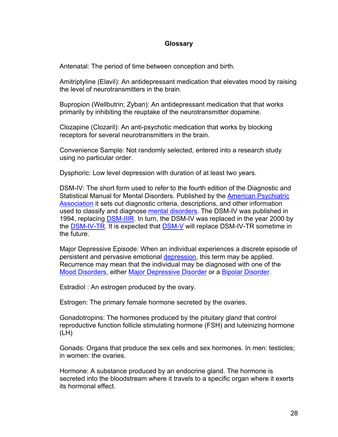## **Glossary**

Antenatal: The period of time between conception and birth.

Amitriptyline (Elavil): An antidepressant medication that elevates mood by raising the level of neurotransmitters in the brain.

Bupropion (Wellbutrin; Zyban): An antidepressant medication that that works primarily by inhibiting the reuptake of the neurotransmitter dopamine.

Clozapine (Clozaril): An anti-psychotic medication that works by blocking receptors for several neurotransmitters in the brain.

Convenience Sample: Not randomly selected, entered into a research study using no particular order.

Dysphoric: Low level depression with duration of at least two years.

DSM-IV: The short form used to refer to the fourth edition of the Diagnostic and Statistical Manual for Mental Disorders. Published by the [American Psychiatric](http://www.psych.org/) [Association](http://www.psych.org/) it sets out diagnostic criteria, descriptions, and other information used to classify and diagnose [mental disorders.](http://www.behavenet.com/capsules/disorders/mntldsrdr.htm) The DSM-IV was published in 1994, replacing [DSM-IIIR.](http://www.behavenet.com/capsules/disorders/dsm3r.htm) In turn, the DSM-IV was replaced in the year 2000 by the [DSM-IV-TR.](http://www.behavenet.com/capsules/disorders/dsm4tr.htm) It is expected that [DSM-V](http://www.behavenet.com/capsules/disorders/dsm5.htm) will replace DSM-IV-TR sometime in the future.

Major Depressive Episode: When an individual experiences a discrete episode of persistent and pervasive emotional [depression,](http://www.behavenet.com/capsules/disorders/depression.htm) this term may be applied. Recurrence may mean that the individual may be diagnosed with one of the [Mood Disorders,](http://www.behavenet.com/capsules/disorders/moodis.htm) either [Major Depressive Disorder](http://www.behavenet.com/capsules/disorders/mjrdepd.htm) or a [Bipolar Disorder.](http://www.behavenet.com/capsules/disorders/bipdis.htm)

Estradiol : An estrogen produced by the ovary.

Estrogen: The primary female hormone secreted by the ovaries.

Gonadotropins: The hormones produced by the pituitary gland that control reproductive function follicle stimulating hormone (FSH) and luteinizing hormone (LH)

Gonads: Organs that produce the sex cells and sex hormones. In men: testicles; in women: the ovaries.

Hormone: A substance produced by an endocrine gland. The hormone is secreted into the bloodstream where it travels to a specific organ where it exerts its hormonal effect.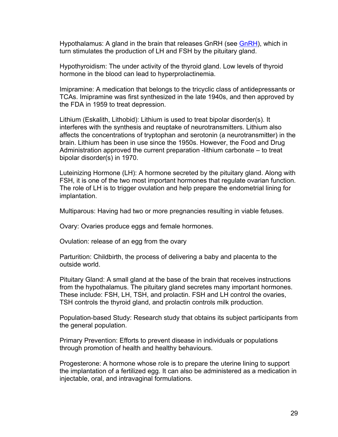Hypothalamus: A gland in the brain that releases GnRH (see [GnRH\)](http://www.fertilitext.org/glossary/#gnrh), which in turn stimulates the production of LH and FSH by the pituitary gland.

Hypothyroidism: The under activity of the thyroid gland. Low levels of thyroid hormone in the blood can lead to hyperprolactinemia.

Imipramine: A medication that belongs to the tricyclic class of antidepressants or TCAs. Imipramine was first synthesized in the late 1940s, and then approved by the FDA in 1959 to treat depression.

Lithium (Eskalith, Lithobid): Lithium is used to treat bipolar disorder(s). It interferes with the synthesis and reuptake of neurotransmitters. Lithium also affects the concentrations of tryptophan and serotonin (a neurotransmitter) in the brain. Lithium has been in use since the 1950s. However, the Food and Drug Administration approved the current preparation -lithium carbonate – to treat bipolar disorder(s) in 1970.

Luteinizing Hormone (LH): A hormone secreted by the pituitary gland. Along with FSH, it is one of the two most important hormones that regulate ovarian function. The role of LH is to trigger ovulation and help prepare the endometrial lining for implantation.

Multiparous: Having had two or more pregnancies resulting in viable fetuses.

Ovary: Ovaries produce eggs and female hormones.

Ovulation: release of an egg from the ovary

Parturition: Childbirth, the process of delivering a baby and placenta to the outside world.

Pituitary Gland: A small gland at the base of the brain that receives instructions from the hypothalamus. The pituitary gland secretes many important hormones. These include: FSH, LH, TSH, and prolactin. FSH and LH control the ovaries, TSH controls the thyroid gland, and prolactin controls milk production.

Population-based Study: Research study that obtains its subject participants from the general population.

Primary Prevention: Efforts to prevent disease in individuals or populations through promotion of health and healthy behaviours.

Progesterone: A hormone whose role is to prepare the uterine lining to support the implantation of a fertilized egg. It can also be administered as a medication in injectable, oral, and intravaginal formulations.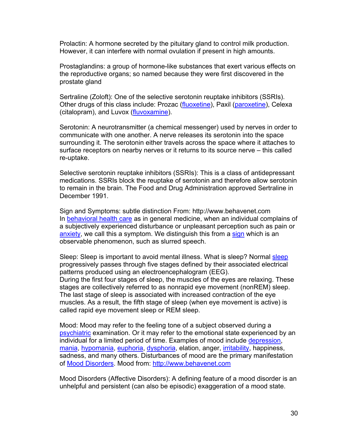Prolactin: A hormone secreted by the pituitary gland to control milk production. However, it can interfere with normal ovulation if present in high amounts.

Prostaglandins: a group of hormone-like substances that exert various effects on the reproductive organs; so named because they were first discovered in the prostate gland

Sertraline (Zoloft): One of the selective serotonin reuptake inhibitors (SSRIs). Other drugs of this class include: Prozac [\(fluoxetine\)](http://www.medicinenet.com/script/main/art.asp?ArticleKey=818), Paxil [\(paroxetine\)](http://www.medicinenet.com/script/main/art.asp?ArticleKey=801), Celexa (citalopram), and Luvox [\(fluvoxamine\)](http://www.medicinenet.com/script/main/art.asp?ArticleKey=784).

Serotonin: A neurotransmitter (a chemical messenger) used by nerves in order to communicate with one another. A nerve releases its serotonin into the space surrounding it. The serotonin either travels across the space where it attaches to surface receptors on nearby nerves or it returns to its source nerve – this called re-uptake.

Selective serotonin reuptake inhibitors (SSRIs): This is a class of antidepressant medications. SSRIs block the reuptake of serotonin and therefore allow serotonin to remain in the brain. The Food and Drug Administration approved Sertraline in December 1991.

Sign and Symptoms: subtle distinction From: http://www.behavenet.com In [behavioral health care](http://www.behavenet.com/capsules/general/bhc.htm) as in general medicine, when an individual complains of a subjectively experienced disturbance or unpleasant perception such as pain or [anxiety,](http://www.behavenet.com/capsules/disorders/anxiety.htm) we call this a symptom. We distinguish this from a [sign](http://www.behavenet.com/capsules/disorders/sign.htm) which is an observable phenomenon, such as slurred speech.

Sleep: Sleep is important to avoid mental illness. What is sleep? Normal [sleep](http://www.medicinenet.com/script/main/art.asp?ArticleKey=6177) progressively passes through five stages defined by their associated electrical patterns produced using an electroencephalogram (EEG). During the first four stages of sleep, the muscles of the eyes are relaxing. These stages are collectively referred to as nonrapid eye movement (nonREM) sleep. The last stage of sleep is associated with increased contraction of the eye muscles. As a result, the fifth stage of sleep (when eye movement is active) is called rapid eye movement sleep or REM sleep.

Mood: Mood may refer to the feeling tone of a subject observed during a [psychiatric](http://www.behavenet.com/capsules/professions/psychiatry.htm) examination. Or it may refer to the emotional state experienced by an individual for a limited period of time. Examples of mood include [depression,](http://www.behavenet.com/capsules/disorders/depression.htm) [mania,](http://www.behavenet.com/capsules/disorders/mania.htm) [hypomania,](http://www.behavenet.com/capsules/disorders/hypomania.htm) [euphoria,](http://www.behavenet.com/capsules/path/euphoria.htm) [dysphoria,](http://www.behavenet.com/capsules/path/dysphoria.htm) elation, anger, *irritability*, happiness, sadness, and many others. Disturbances of mood are the primary manifestation of [Mood Disorders.](http://www.behavenet.com/capsules/disorders/moodis.htm) Mood from: [http://www.behavenet.com](http://www.behavenet.com/)

Mood Disorders (Affective Disorders): A defining feature of a mood disorder is an unhelpful and persistent (can also be episodic) exaggeration of a mood state.